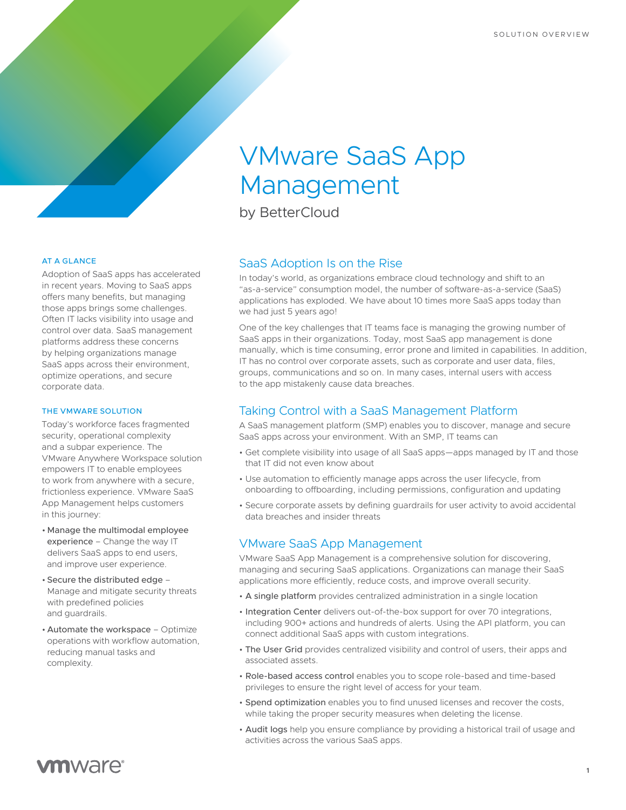# VMware SaaS App Management

by BetterCloud

#### AT A GLANCE

Adoption of SaaS apps has accelerated in recent years. Moving to SaaS apps offers many benefits, but managing those apps brings some challenges. Often IT lacks visibility into usage and control over data. SaaS management platforms address these concerns by helping organizations manage SaaS apps across their environment, optimize operations, and secure corporate data.

#### THE VMWARE SOLUTION

Today's workforce faces fragmented security, operational complexity and a subpar experience. The VMware Anywhere Workspace solution empowers IT to enable employees to work from anywhere with a secure, frictionless experience. VMware SaaS App Management helps customers in this journey:

- Manage the multimodal employee experience – Change the way IT delivers SaaS apps to end users, and improve user experience.
- Secure the distributed edge Manage and mitigate security threats with predefined policies and guardrails.
- Automate the workspace Optimize operations with workflow automation, reducing manual tasks and complexity.

# SaaS Adoption Is on the Rise

In today's world, as organizations embrace cloud technology and shift to an "as-a-service" consumption model, the number of software-as-a-service (SaaS) applications has exploded. We have about 10 times more SaaS apps today than we had just 5 years ago!

One of the key challenges that IT teams face is managing the growing number of SaaS apps in their organizations. Today, most SaaS app management is done manually, which is time consuming, error prone and limited in capabilities. In addition, IT has no control over corporate assets, such as corporate and user data, files, groups, communications and so on. In many cases, internal users with access to the app mistakenly cause data breaches.

# Taking Control with a SaaS Management Platform

A SaaS management platform (SMP) enables you to discover, manage and secure SaaS apps across your environment. With an SMP, IT teams can

- Get complete visibility into usage of all SaaS apps—apps managed by IT and those that IT did not even know about
- Use automation to efficiently manage apps across the user lifecycle, from onboarding to offboarding, including permissions, configuration and updating
- Secure corporate assets by defining guardrails for user activity to avoid accidental data breaches and insider threats

### VMware SaaS App Management

VMware SaaS App Management is a comprehensive solution for discovering, managing and securing SaaS applications. Organizations can manage their SaaS applications more efficiently, reduce costs, and improve overall security.

- A single platform provides centralized administration in a single location
- Integration Center delivers out-of-the-box support for over 70 integrations, including 900+ actions and hundreds of alerts. Using the API platform, you can connect additional SaaS apps with custom integrations.
- The User Grid provides centralized visibility and control of users, their apps and associated assets.
- Role-based access control enables you to scope role-based and time-based privileges to ensure the right level of access for your team.
- Spend optimization enables you to find unused licenses and recover the costs, while taking the proper security measures when deleting the license.
- Audit logs help you ensure compliance by providing a historical trail of usage and activities across the various SaaS apps.

# **vm**ware<sup>®</sup>